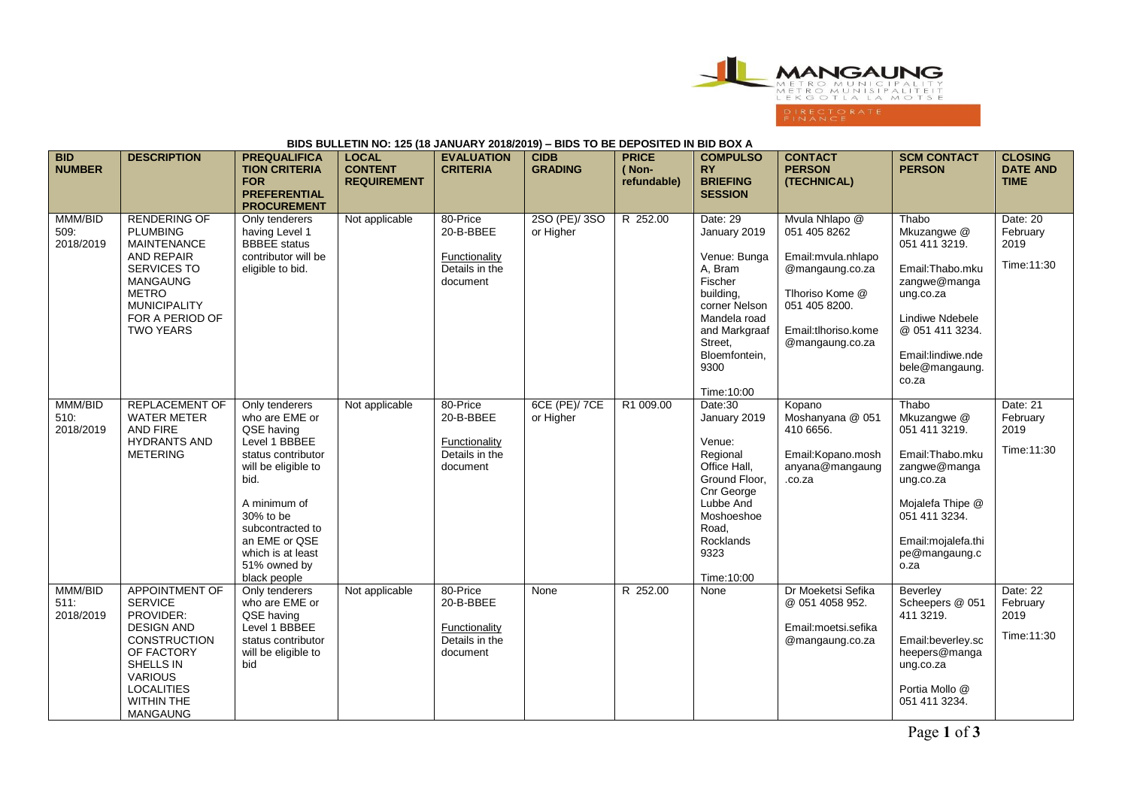

## **BIDS BULLETIN NO: 125 (18 JANUARY 2018/2019) – BIDS TO BE DEPOSITED IN BID BOX A**

| <b>BID</b><br><b>NUMBER</b>  | <b>DESCRIPTION</b>                                                                                                                                                                                         | <b>PREQUALIFICA</b><br><b>TION CRITERIA</b><br><b>FOR</b><br><b>PREFERENTIAL</b><br><b>PROCUREMENT</b>                                                                                                                                      | <b>LOCAL</b><br><b>CONTENT</b><br><b>REQUIREMENT</b> | <b>EVALUATION</b><br><b>CRITERIA</b>                                 | <b>CIDB</b><br><b>GRADING</b> | <b>PRICE</b><br>(Non-<br>refundable) | <b>COMPULSO</b><br><b>RY</b><br><b>BRIEFING</b><br><b>SESSION</b>                                                                                                               | <b>CONTACT</b><br><b>PERSON</b><br>(TECHNICAL)                                                                                                         | <b>SCM CONTACT</b><br><b>PERSON</b>                                                                                                                                          | <b>CLOSING</b><br><b>DATE AND</b><br><b>TIME</b> |
|------------------------------|------------------------------------------------------------------------------------------------------------------------------------------------------------------------------------------------------------|---------------------------------------------------------------------------------------------------------------------------------------------------------------------------------------------------------------------------------------------|------------------------------------------------------|----------------------------------------------------------------------|-------------------------------|--------------------------------------|---------------------------------------------------------------------------------------------------------------------------------------------------------------------------------|--------------------------------------------------------------------------------------------------------------------------------------------------------|------------------------------------------------------------------------------------------------------------------------------------------------------------------------------|--------------------------------------------------|
| MMM/BID<br>509.<br>2018/2019 | <b>RENDERING OF</b><br><b>PLUMBING</b><br><b>MAINTENANCE</b><br><b>AND REPAIR</b><br><b>SERVICES TO</b><br><b>MANGAUNG</b><br><b>METRO</b><br><b>MUNICIPALITY</b><br>FOR A PERIOD OF<br><b>TWO YEARS</b>   | Only tenderers<br>having Level 1<br><b>BBBEE</b> status<br>contributor will be<br>eligible to bid.                                                                                                                                          | Not applicable                                       | 80-Price<br>20-B-BBEE<br>Functionality<br>Details in the<br>document | 2SO (PE)/3SO<br>or Higher     | R 252.00                             | Date: 29<br>January 2019<br>Venue: Bunga<br>A, Bram<br>Fischer<br>building,<br>corner Nelson<br>Mandela road<br>and Markgraaf<br>Street,<br>Bloemfontein,<br>9300<br>Time:10:00 | Mvula Nhlapo @<br>051 405 8262<br>Email: mvula.nhlapo<br>@mangaung.co.za<br>Tlhoriso Kome @<br>051 405 8200.<br>Email:tlhoriso.kome<br>@mangaung.co.za | Thabo<br>Mkuzangwe @<br>051 411 3219.<br>Email: Thabo.mku<br>zangwe@manga<br>ung.co.za<br>Lindiwe Ndebele<br>@ 051 411 3234.<br>Email:lindiwe.nde<br>bele@mangaung.<br>co.za | Date: 20<br>February<br>2019<br>Time: 11:30      |
| MMM/BID<br>510.<br>2018/2019 | <b>REPLACEMENT OF</b><br><b>WATER METER</b><br><b>AND FIRE</b><br><b>HYDRANTS AND</b><br><b>METERING</b>                                                                                                   | Only tenderers<br>who are EME or<br>QSE having<br>Level 1 BBBEE<br>status contributor<br>will be eligible to<br>bid.<br>A minimum of<br>30% to be<br>subcontracted to<br>an EME or QSE<br>which is at least<br>51% owned by<br>black people | Not applicable                                       | 80-Price<br>20-B-BBEE<br>Functionality<br>Details in the<br>document | 6CE (PE)/ 7CE<br>or Higher    | R1 009.00                            | Date:30<br>January 2019<br>Venue:<br>Regional<br>Office Hall.<br>Ground Floor,<br>Cnr George<br>Lubbe And<br>Moshoeshoe<br>Road,<br>Rocklands<br>9323<br>Time:10:00             | Kopano<br>Moshanyana @ 051<br>410 6656.<br>Email: Kopano. mosh<br>anyana@mangaung<br>.co.za                                                            | Thabo<br>Mkuzangwe @<br>051 411 3219.<br>Email:Thabo.mku<br>zangwe@manga<br>ung.co.za<br>Mojalefa Thipe @<br>051 411 3234.<br>Email:mojalefa.thi<br>pe@mangaung.c<br>o.za    | Date: 21<br>February<br>2019<br>Time: 11:30      |
| MMM/BID<br>511:<br>2018/2019 | <b>APPOINTMENT OF</b><br><b>SERVICE</b><br>PROVIDER:<br><b>DESIGN AND</b><br><b>CONSTRUCTION</b><br>OF FACTORY<br>SHELLS IN<br><b>VARIOUS</b><br><b>LOCALITIES</b><br><b>WITHIN THE</b><br><b>MANGAUNG</b> | Only tenderers<br>who are EME or<br>QSE having<br>Level 1 BBBEE<br>status contributor<br>will be eligible to<br>bid                                                                                                                         | Not applicable                                       | 80-Price<br>20-B-BBEE<br>Functionality<br>Details in the<br>document | None                          | R 252.00                             | None                                                                                                                                                                            | Dr Moeketsi Sefika<br>@ 051 4058 952.<br>Email:moetsi.sefika<br>@mangaung.co.za                                                                        | Beverley<br>Scheepers @ 051<br>411 3219.<br>Email:beverley.sc<br>heepers@manga<br>ung.co.za<br>Portia Mollo @<br>051 411 3234.                                               | Date: 22<br>February<br>2019<br>Time: 11:30      |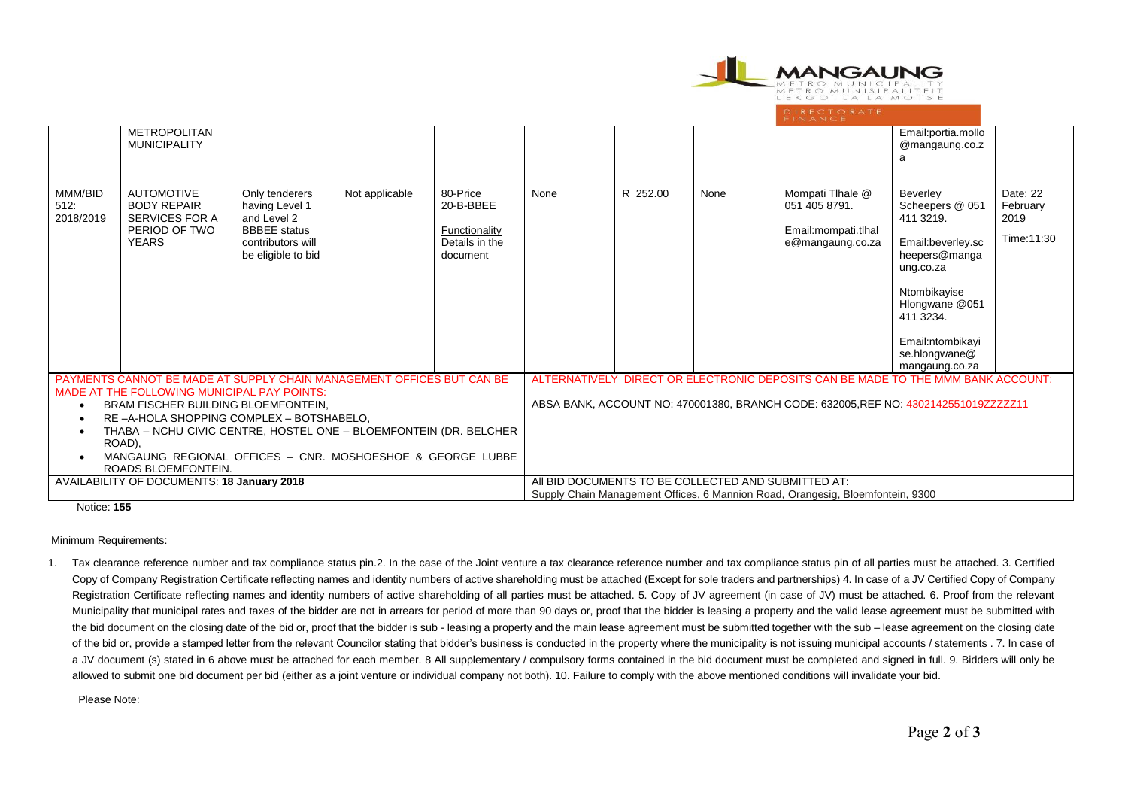

|                                                                                                                                                                                                                                                                                                                              | <b>METROPOLITAN</b><br><b>MUNICIPALITY</b>                                                 |                                                                                                                   |                |                                                                                                                                       |                                                                                  |          |      |                                                                               | Email:portia.mollo<br>@mangaung.co.z                                                                                                                                                              |                                             |
|------------------------------------------------------------------------------------------------------------------------------------------------------------------------------------------------------------------------------------------------------------------------------------------------------------------------------|--------------------------------------------------------------------------------------------|-------------------------------------------------------------------------------------------------------------------|----------------|---------------------------------------------------------------------------------------------------------------------------------------|----------------------------------------------------------------------------------|----------|------|-------------------------------------------------------------------------------|---------------------------------------------------------------------------------------------------------------------------------------------------------------------------------------------------|---------------------------------------------|
| MMM/BID<br>512:<br>2018/2019                                                                                                                                                                                                                                                                                                 | <b>AUTOMOTIVE</b><br><b>BODY REPAIR</b><br>SERVICES FOR A<br>PERIOD OF TWO<br><b>YEARS</b> | Only tenderers<br>having Level 1<br>and Level 2<br><b>BBBEE</b> status<br>contributors will<br>be eligible to bid | Not applicable | 80-Price<br>20-B-BBEE<br>Functionality<br>Details in the<br>document                                                                  | None                                                                             | R 252.00 | None | Mompati Tlhale @<br>051 405 8791.<br>Email: mompati.tlhal<br>e@mangaung.co.za | Beverley<br>Scheepers @ 051<br>411 3219.<br>Email:beverley.sc<br>heepers@manga<br>ung.co.za<br>Ntombikayise<br>Hlongwane @051<br>411 3234.<br>Email:ntombikayi<br>se.hlongwane@<br>mangaung.co.za | Date: 22<br>February<br>2019<br>Time: 11:30 |
| PAYMENTS CANNOT BE MADE AT SUPPLY CHAIN MANAGEMENT OFFICES BUT CAN BE                                                                                                                                                                                                                                                        |                                                                                            |                                                                                                                   |                |                                                                                                                                       | ALTERNATIVELY DIRECT OR ELECTRONIC DEPOSITS CAN BE MADE TO THE MMM BANK ACCOUNT: |          |      |                                                                               |                                                                                                                                                                                                   |                                             |
| MADE AT THE FOLLOWING MUNICIPAL PAY POINTS:<br>BRAM FISCHER BUILDING BLOEMFONTEIN,<br>RE-A-HOLA SHOPPING COMPLEX - BOTSHABELO,<br>$\bullet$<br>THABA - NCHU CIVIC CENTRE, HOSTEL ONE - BLOEMFONTEIN (DR. BELCHER<br>$\bullet$<br>ROAD),<br>MANGAUNG REGIONAL OFFICES - CNR. MOSHOESHOE & GEORGE LUBBE<br>ROADS BLOEMFONTEIN. |                                                                                            |                                                                                                                   |                | ABSA BANK, ACCOUNT NO: 470001380, BRANCH CODE: 632005, REF NO: 4302142551019ZZZZZ11                                                   |                                                                                  |          |      |                                                                               |                                                                                                                                                                                                   |                                             |
| AVAILABILITY OF DOCUMENTS: 18 January 2018                                                                                                                                                                                                                                                                                   |                                                                                            |                                                                                                                   |                | AII BID DOCUMENTS TO BE COLLECTED AND SUBMITTED AT:<br>Supply Chain Management Offices, 6 Mannion Road, Orangesig, Bloemfontein, 9300 |                                                                                  |          |      |                                                                               |                                                                                                                                                                                                   |                                             |

Notice: **155**

Minimum Requirements:

1. Tax clearance reference number and tax compliance status pin.2. In the case of the Joint venture a tax clearance reference number and tax compliance status pin of all parties must be attached. 3. Certified Copy of Company Registration Certificate reflecting names and identity numbers of active shareholding must be attached (Except for sole traders and partnerships) 4. In case of a JV Certified Copy of Company Registration Certificate reflecting names and identity numbers of active shareholding of all parties must be attached. 5. Copy of JV agreement (in case of JV) must be attached. 6. Proof from the relevant Municipality that municipal rates and taxes of the bidder are not in arrears for period of more than 90 days or, proof that the bidder is leasing a property and the valid lease agreement must be submitted with the bid document on the closing date of the bid or, proof that the bidder is sub - leasing a property and the main lease agreement must be submitted together with the sub – lease agreement on the closing date of the bid or, provide a stamped letter from the relevant Councilor stating that bidder's business is conducted in the property where the municipality is not issuing municipal accounts / statements . 7. In case of a JV document (s) stated in 6 above must be attached for each member. 8 All supplementary / compulsory forms contained in the bid document must be completed and signed in full. 9. Bidders will only be allowed to submit one bid document per bid (either as a joint venture or individual company not both). 10. Failure to comply with the above mentioned conditions will invalidate your bid.

Please Note: